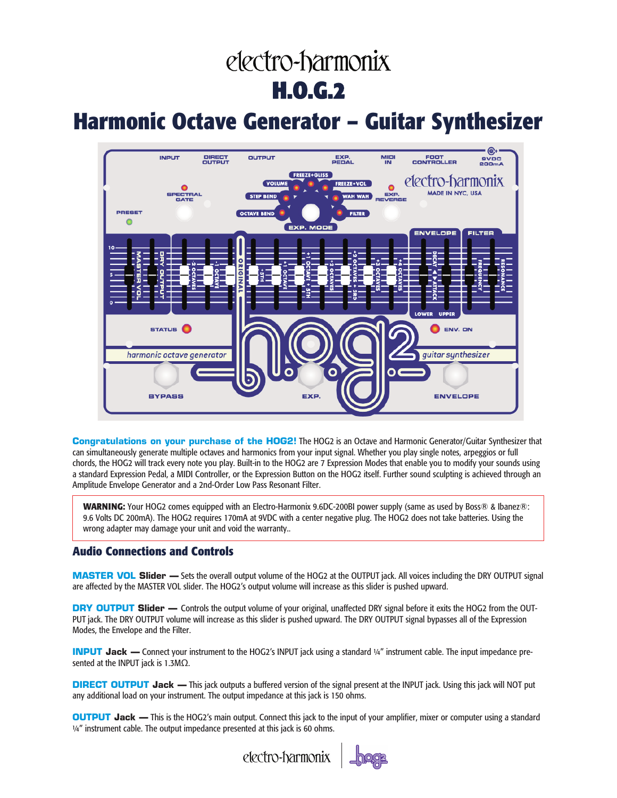# electro-harmonix **H.O.G.2**

## **Harmonic Octave Generator – Guitar Synthesizer**



**Congratulations on your purchase of the HOG2!** The HOG2 is an Octave and Harmonic Generator/Guitar Synthesizer that can simultaneously generate multiple octaves and harmonics from your input signal. Whether you play single notes, arpeggios or full chords, the HOG2 will track every note you play. Built-in to the HOG2 are 7 Expression Modes that enable you to modify your sounds using a standard Expression Pedal, a MIDI Controller, or the Expression Button on the HOG2 itself. Further sound sculpting is achieved through an Amplitude Envelope Generator and a 2nd-Order Low Pass Resonant Filter.

**WARNING:** Your HOG2 comes equipped with an Electro-Harmonix 9.6DC-200BI power supply (same as used by Boss® & Ibanez®: 9.6 Volts DC 200mA). The HOG2 requires 170mA at 9VDC with a center negative plug. The HOG2 does not take batteries. Using the wrong adapter may damage your unit and void the warranty..

## **Audio Connections and Controls**

**MASTER VOL Slider —** Sets the overall output volume of the HOG2 at the OUTPUT jack. All voices including the DRY OUTPUT signal are affected by the MASTER VOL slider. The HOG2's output volume will increase as this slider is pushed upward.

**DRY OUTPUT Slider** — Controls the output volume of your original, unaffected DRY signal before it exits the HOG2 from the OUT-PUT jack. The DRY OUTPUT volume will increase as this slider is pushed upward. The DRY OUTPUT signal bypasses all of the Expression Modes, the Envelope and the Filter.

**INPUT Jack — Connect your instrument to the HOG2's INPUT jack using a standard ¼" instrument cable. The input impedance pre**sented at the INPUT jack is 1.3MΩ.

**DIRECT OUTPUT Jack —** This jack outputs a buffered version of the signal present at the INPUT jack. Using this jack will NOT put any additional load on your instrument. The output impedance at this jack is 150 ohms.

**OUTPUT Jack —** This is the HOG2's main output. Connect this jack to the input of your amplifier, mixer or computer using a standard ¼" instrument cable. The output impedance presented at this jack is 60 ohms.



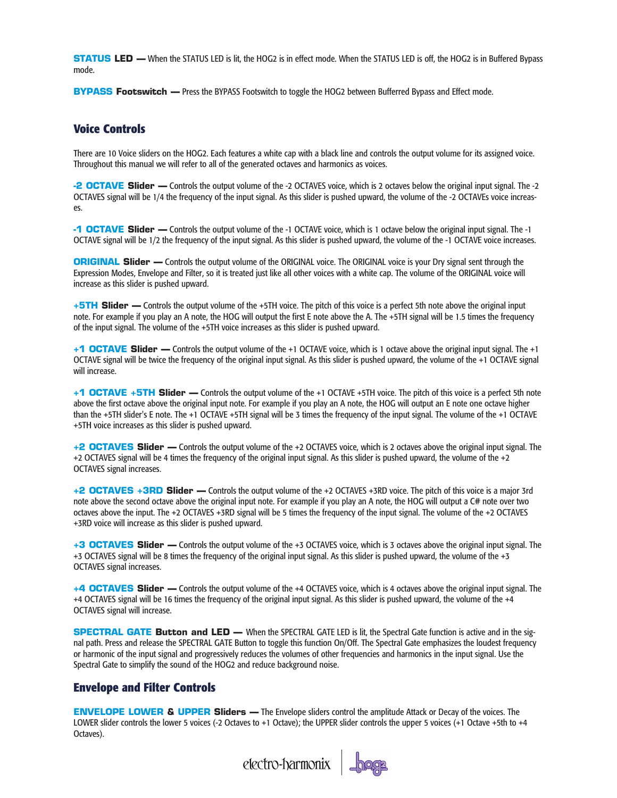**STATUS LED —** When the STATUS LED is lit, the HOG2 is in effect mode. When the STATUS LED is off, the HOG2 is in Buffered Bypass mode.

**BYPASS Footswitch —** Press the BYPASS Footswitch to toggle the HOG2 between Bufferred Bypass and Effect mode.

## **Voice Controls**

There are 10 Voice sliders on the HOG2. Each features a white cap with a black line and controls the output volume for its assigned voice. Throughout this manual we will refer to all of the generated octaves and harmonics as voices.

**-2 OCTAVE Slider —** Controls the output volume of the -2 OCTAVES voice, which is 2 octaves below the original input signal. The -2 OCTAVES signal will be 1/4 the frequency of the input signal. As this slider is pushed upward, the volume of the -2 OCTAVEs voice increases.

**-1 OCTAVE Slider —** Controls the output volume of the -1 OCTAVE voice, which is 1 octave below the original input signal. The -1 OCTAVE signal will be 1/2 the frequency of the input signal. As this slider is pushed upward, the volume of the -1 OCTAVE voice increases.

**ORIGINAL Slider** — Controls the output volume of the ORIGINAL voice. The ORIGINAL voice is your Dry signal sent through the Expression Modes, Envelope and Filter, so it is treated just like all other voices with a white cap. The volume of the ORIGINAL voice will increase as this slider is pushed upward.

**+5TH Slider —** Controls the output volume of the +5TH voice. The pitch of this voice is a perfect 5th note above the original input note. For example if you play an A note, the HOG will output the first E note above the A. The +5TH signal will be 1.5 times the frequency of the input signal. The volume of the +5TH voice increases as this slider is pushed upward.

**+1 OCTAVE Slider —** Controls the output volume of the +1 OCTAVE voice, which is 1 octave above the original input signal. The +1 OCTAVE signal will be twice the frequency of the original input signal. As this slider is pushed upward, the volume of the +1 OCTAVE signal will increase.

**+1 OCTAVE +5TH Slider —** Controls the output volume of the +1 OCTAVE +5TH voice. The pitch of this voice is a perfect 5th note above the first octave above the original input note. For example if you play an A note, the HOG will output an E note one octave higher than the +5TH slider's E note. The +1 OCTAVE +5TH signal will be 3 times the frequency of the input signal. The volume of the +1 OCTAVE +5TH voice increases as this slider is pushed upward.

**+2 OCTAVES Slider —** Controls the output volume of the +2 OCTAVES voice, which is 2 octaves above the original input signal. The +2 OCTAVES signal will be 4 times the frequency of the original input signal. As this slider is pushed upward, the volume of the +2 OCTAVES signal increases.

**+2 OCTAVES +3RD Slider —** Controls the output volume of the +2 OCTAVES +3RD voice. The pitch of this voice is a major 3rd note above the second octave above the original input note. For example if you play an A note, the HOG will output a C# note over two octaves above the input. The +2 OCTAVES +3RD signal will be 5 times the frequency of the input signal. The volume of the +2 OCTAVES +3RD voice will increase as this slider is pushed upward.

**+3 OCTAVES Slider —** Controls the output volume of the +3 OCTAVES voice, which is 3 octaves above the original input signal. The +3 OCTAVES signal will be 8 times the frequency of the original input signal. As this slider is pushed upward, the volume of the +3 OCTAVES signal increases.

**+4 OCTAVES Slider —** Controls the output volume of the +4 OCTAVES voice, which is 4 octaves above the original input signal. The +4 OCTAVES signal will be 16 times the frequency of the original input signal. As this slider is pushed upward, the volume of the +4 OCTAVES signal will increase.

**SPECTRAL GATE Button and LED —** When the SPECTRAL GATE LED is lit, the Spectral Gate function is active and in the signal path. Press and release the SPECTRAL GATE Button to toggle this function On/Off. The Spectral Gate emphasizes the loudest frequency or harmonic of the input signal and progressively reduces the volumes of other frequencies and harmonics in the input signal. Use the Spectral Gate to simplify the sound of the HOG2 and reduce background noise.

## **Envelope and Filter Controls**

**ENVELOPE LOWER & UPPER Sliders —** The Envelope sliders control the amplitude Attack or Decay of the voices. The LOWER slider controls the lower 5 voices (-2 Octaves to +1 Octave); the UPPER slider controls the upper 5 voices (+1 Octave +5th to +4 Octaves).

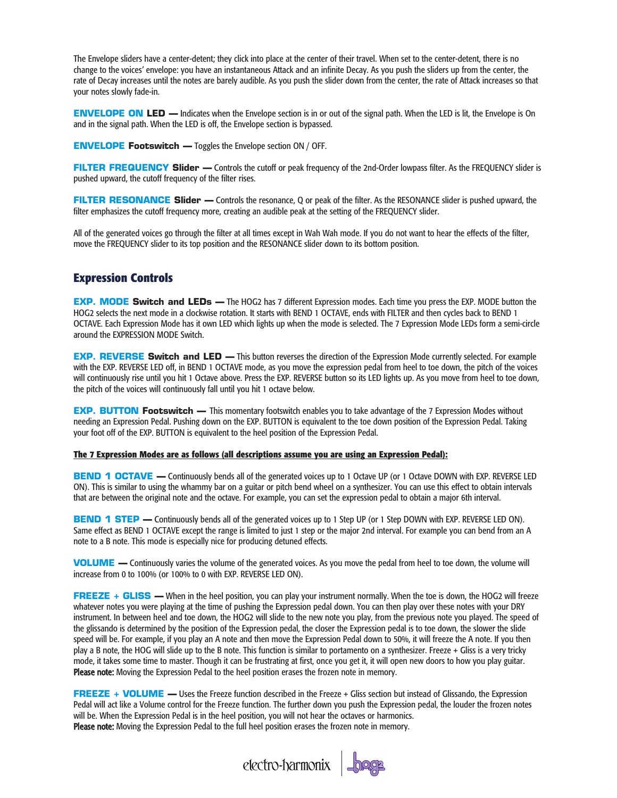The Envelope sliders have a center-detent; they click into place at the center of their travel. When set to the center-detent, there is no change to the voices' envelope: you have an instantaneous Attack and an infinite Decay. As you push the sliders up from the center, the rate of Decay increases until the notes are barely audible. As you push the slider down from the center, the rate of Attack increases so that your notes slowly fade-in.

**ENVELOPE ON LED — Indicates when the Envelope section is in or out of the signal path. When the LED is lit, the Envelope is On** and in the signal path. When the LED is off, the Envelope section is bypassed.

**ENVELOPE Footswitch —** Toggles the Envelope section ON / OFF.

**FILTER FREQUENCY Slider —** Controls the cutoff or peak frequency of the 2nd-Order lowpass filter. As the FREQUENCY slider is pushed upward, the cutoff frequency of the filter rises.

**FILTER RESONANCE Slider —** Controls the resonance, Q or peak of the filter. As the RESONANCE slider is pushed upward, the filter emphasizes the cutoff frequency more, creating an audible peak at the setting of the FREQUENCY slider.

All of the generated voices go through the filter at all times except in Wah Wah mode. If you do not want to hear the effects of the filter, move the FREQUENCY slider to its top position and the RESONANCE slider down to its bottom position.

### **Expression Controls**

**EXP. MODE Switch and LEDs —** The HOG2 has 7 different Expression modes. Each time you press the EXP. MODE button the HOG2 selects the next mode in a clockwise rotation. It starts with BEND 1 OCTAVE, ends with FILTER and then cycles back to BEND 1 OCTAVE. Each Expression Mode has it own LED which lights up when the mode is selected. The 7 Expression Mode LEDs form a semi-circle around the EXPRESSION MODE Switch.

**EXP. REVERSE Switch and LED —** This button reverses the direction of the Expression Mode currently selected. For example with the EXP. REVERSE LED off, in BEND 1 OCTAVE mode, as you move the expression pedal from heel to toe down, the pitch of the voices will continuously rise until you hit 1 Octave above. Press the EXP. REVERSE button so its LED lights up. As you move from heel to toe down, the pitch of the voices will continuously fall until you hit 1 octave below.

**EXP. BUTTON Footswitch —** This momentary footswitch enables you to take advantage of the 7 Expression Modes without needing an Expression Pedal. Pushing down on the EXP. BUTTON is equivalent to the toe down position of the Expression Pedal. Taking your foot off of the EXP. BUTTON is equivalent to the heel position of the Expression Pedal.

#### **The 7 Expression Modes are as follows (all descriptions assume you are using an Expression Pedal):**

**BEND 1 OCTAVE —** Continuously bends all of the generated voices up to 1 Octave UP (or 1 Octave DOWN with EXP. REVERSE LED ON). This is similar to using the whammy bar on a guitar or pitch bend wheel on a synthesizer. You can use this effect to obtain intervals that are between the original note and the octave. For example, you can set the expression pedal to obtain a major 6th interval.

**BEND 1 STEP — Continuously bends all of the generated voices up to 1 Step UP (or 1 Step DOWN with EXP. REVERSE LED ON).** Same effect as BEND 1 OCTAVE except the range is limited to just 1 step or the major 2nd interval. For example you can bend from an A note to a B note. This mode is especially nice for producing detuned effects.

**VOLUME —** Continuously varies the volume of the generated voices. As you move the pedal from heel to toe down, the volume will increase from 0 to 100% (or 100% to 0 with EXP. REVERSE LED ON).

**FREEZE + GLISS —** When in the heel position, you can play your instrument normally. When the toe is down, the HOG2 will freeze whatever notes you were playing at the time of pushing the Expression pedal down. You can then play over these notes with your DRY instrument. In between heel and toe down, the HOG2 will slide to the new note you play, from the previous note you played. The speed of the glissando is determined by the position of the Expression pedal, the closer the Expression pedal is to toe down, the slower the slide speed will be. For example, if you play an A note and then move the Expression Pedal down to 50%, it will freeze the A note. If you then play a B note, the HOG will slide up to the B note. This function is similar to portamento on a synthesizer. Freeze + Gliss is a very tricky mode, it takes some time to master. Though it can be frustrating at first, once you get it, it will open new doors to how you play guitar. Please note: Moving the Expression Pedal to the heel position erases the frozen note in memory.

**FREEZE + VOLUME** — Uses the Freeze function described in the Freeze + Gliss section but instead of Glissando, the Expression Pedal will act like a Volume control for the Freeze function. The further down you push the Expression pedal, the louder the frozen notes will be. When the Expression Pedal is in the heel position, you will not hear the octaves or harmonics. Please note: Moving the Expression Pedal to the full heel position erases the frozen note in memory.

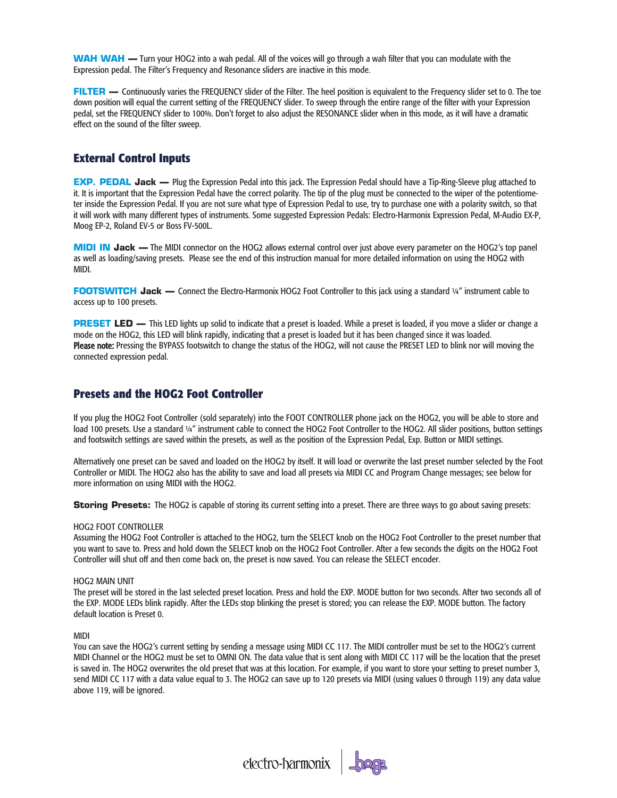**WAH WAH —** Turn your HOG2 into a wah pedal. All of the voices will go through a wah filter that you can modulate with the Expression pedal. The Filter's Frequency and Resonance sliders are inactive in this mode.

**FILTER —** Continuously varies the FREQUENCY slider of the Filter. The heel position is equivalent to the Frequency slider set to 0. The toe down position will equal the current setting of the FREQUENCY slider. To sweep through the entire range of the filter with your Expression pedal, set the FREQUENCY slider to 100%. Don't forget to also adjust the RESONANCE slider when in this mode, as it will have a dramatic effect on the sound of the filter sweep.

## **External Control Inputs**

**EXP. PEDAL Jack —** Plug the Expression Pedal into this jack. The Expression Pedal should have a Tip-Ring-Sleeve plug attached to it. It is important that the Expression Pedal have the correct polarity. The tip of the plug must be connected to the wiper of the potentiometer inside the Expression Pedal. If you are not sure what type of Expression Pedal to use, try to purchase one with a polarity switch, so that it will work with many different types of instruments. Some suggested Expression Pedals: Electro-Harmonix Expression Pedal, M-Audio EX-P, Moog EP-2, Roland EV-5 or Boss FV-500L.

**MIDI IN Jack —** The MIDI connector on the HOG2 allows external control over just above every parameter on the HOG2's top panel as well as loading/saving presets. Please see the end of this instruction manual for more detailed information on using the HOG2 with MIDI.

**FOOTSWITCH Jack** — Connect the Electro-Harmonix HOG2 Foot Controller to this jack using a standard 1/4" instrument cable to access up to 100 presets.

**PRESET LED** — This LED lights up solid to indicate that a preset is loaded. While a preset is loaded, if you move a slider or change a mode on the HOG2, this LED will blink rapidly, indicating that a preset is loaded but it has been changed since it was loaded. Please note: Pressing the BYPASS footswitch to change the status of the HOG2, will not cause the PRESET LED to blink nor will moving the connected expression pedal.

## **Presets and the HOG2 Foot Controller**

If you plug the HOG2 Foot Controller (sold separately) into the FOOT CONTROLLER phone jack on the HOG2, you will be able to store and load 100 presets. Use a standard ¼" instrument cable to connect the HOG2 Foot Controller to the HOG2. All slider positions, button settings and footswitch settings are saved within the presets, as well as the position of the Expression Pedal, Exp. Button or MIDI settings.

Alternatively one preset can be saved and loaded on the HOG2 by itself. It will load or overwrite the last preset number selected by the Foot Controller or MIDI. The HOG2 also has the ability to save and load all presets via MIDI CC and Program Change messages; see below for more information on using MIDI with the HOG2.

**Storing Presets:** The HOG2 is capable of storing its current setting into a preset. There are three ways to go about saving presets:

#### HOG2 FOOT CONTROLLER

Assuming the HOG2 Foot Controller is attached to the HOG2, turn the SELECT knob on the HOG2 Foot Controller to the preset number that you want to save to. Press and hold down the SELECT knob on the HOG2 Foot Controller. After a few seconds the digits on the HOG2 Foot Controller will shut off and then come back on, the preset is now saved. You can release the SELECT encoder.

#### HOG2 MAIN UNIT

The preset will be stored in the last selected preset location. Press and hold the EXP. MODE button for two seconds. After two seconds all of the EXP. MODE LEDs blink rapidly. After the LEDs stop blinking the preset is stored; you can release the EXP. MODE button. The factory default location is Preset 0.

#### MIDI

You can save the HOG2's current setting by sending a message using MIDI CC 117. The MIDI controller must be set to the HOG2's current MIDI Channel or the HOG2 must be set to OMNI ON. The data value that is sent along with MIDI CC 117 will be the location that the preset is saved in. The HOG2 overwrites the old preset that was at this location. For example, if you want to store your setting to preset number 3, send MIDI CC 117 with a data value equal to 3. The HOG2 can save up to 120 presets via MIDI (using values 0 through 119) any data value above 119, will be ignored.

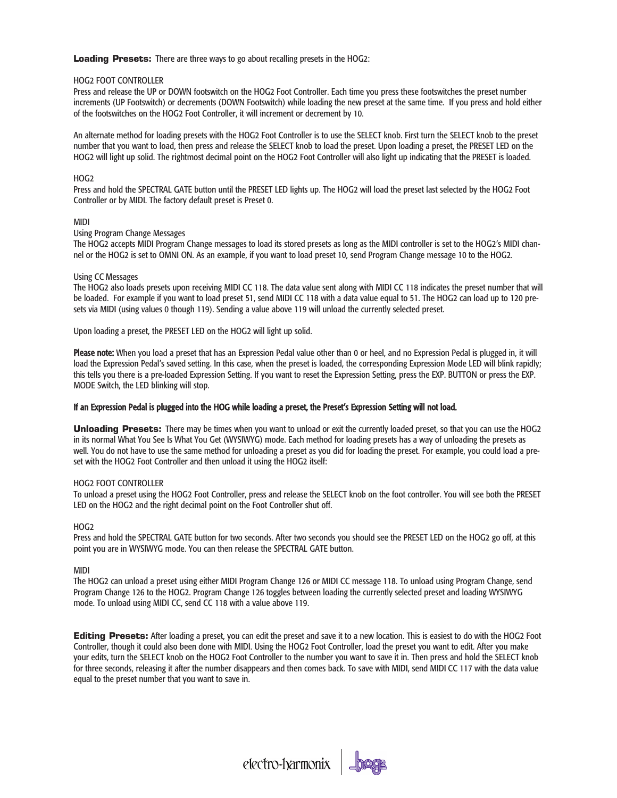**Loading Presets:** There are three ways to go about recalling presets in the HOG2:

#### HOG2 FOOT CONTROLLER

Press and release the UP or DOWN footswitch on the HOG2 Foot Controller. Each time you press these footswitches the preset number increments (UP Footswitch) or decrements (DOWN Footswitch) while loading the new preset at the same time. If you press and hold either of the footswitches on the HOG2 Foot Controller, it will increment or decrement by 10.

An alternate method for loading presets with the HOG2 Foot Controller is to use the SELECT knob. First turn the SELECT knob to the preset number that you want to load, then press and release the SELECT knob to load the preset. Upon loading a preset, the PRESET LED on the HOG2 will light up solid. The rightmost decimal point on the HOG2 Foot Controller will also light up indicating that the PRESET is loaded.

#### HOG2

Press and hold the SPECTRAL GATE button until the PRESET LED lights up. The HOG2 will load the preset last selected by the HOG2 Foot Controller or by MIDI. The factory default preset is Preset 0.

#### MIDI

#### Using Program Change Messages

The HOG2 accepts MIDI Program Change messages to load its stored presets as long as the MIDI controller is set to the HOG2's MIDI channel or the HOG2 is set to OMNI ON. As an example, if you want to load preset 10, send Program Change message 10 to the HOG2.

#### Using CC Messages

The HOG2 also loads presets upon receiving MIDI CC 118. The data value sent along with MIDI CC 118 indicates the preset number that will be loaded. For example if you want to load preset 51, send MIDI CC 118 with a data value equal to 51. The HOG2 can load up to 120 presets via MIDI (using values 0 though 119). Sending a value above 119 will unload the currently selected preset.

Upon loading a preset, the PRESET LED on the HOG2 will light up solid.

Please note: When you load a preset that has an Expression Pedal value other than 0 or heel, and no Expression Pedal is plugged in, it will load the Expression Pedal's saved setting. In this case, when the preset is loaded, the corresponding Expression Mode LED will blink rapidly; this tells you there is a pre-loaded Expression Setting. If you want to reset the Expression Setting, press the EXP. BUTTON or press the EXP. MODE Switch, the LED blinking will stop.

#### If an Expression Pedal is plugged into the HOG while loading a preset, the Preset's Expression Setting will not load.

**Unloading Presets:** There may be times when you want to unload or exit the currently loaded preset, so that you can use the HOG2 in its normal What You See Is What You Get (WYSIWYG) mode. Each method for loading presets has a way of unloading the presets as well. You do not have to use the same method for unloading a preset as you did for loading the preset. For example, you could load a preset with the HOG2 Foot Controller and then unload it using the HOG2 itself:

#### HOG2 FOOT CONTROLLER

To unload a preset using the HOG2 Foot Controller, press and release the SELECT knob on the foot controller. You will see both the PRESET LED on the HOG2 and the right decimal point on the Foot Controller shut off.

#### H<sub>O</sub>G<sub>2</sub>

Press and hold the SPECTRAL GATE button for two seconds. After two seconds you should see the PRESET LED on the HOG2 go off, at this point you are in WYSIWYG mode. You can then release the SPECTRAL GATE button.

#### MIDI

The HOG2 can unload a preset using either MIDI Program Change 126 or MIDI CC message 118. To unload using Program Change, send Program Change 126 to the HOG2. Program Change 126 toggles between loading the currently selected preset and loading WYSIWYG mode. To unload using MIDI CC, send CC 118 with a value above 119.

**Editing Presets:** After loading a preset, you can edit the preset and save it to a new location. This is easiest to do with the HOG2 Foot Controller, though it could also been done with MIDI. Using the HOG2 Foot Controller, load the preset you want to edit. After you make your edits, turn the SELECT knob on the HOG2 Foot Controller to the number you want to save it in. Then press and hold the SELECT knob for three seconds, releasing it after the number disappears and then comes back. To save with MIDI, send MIDI CC 117 with the data value equal to the preset number that you want to save in.

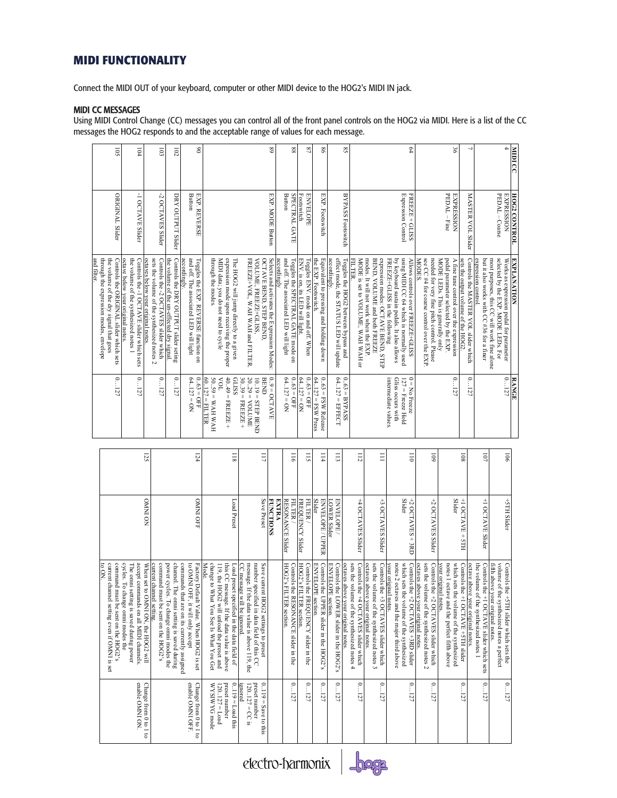## **MIDI FUNCTIONALITY**

Connect the MIDI OUT of your keyboard, computer or other MIDI device to the HOG2's MIDI IN jack.

#### MIDI CC MESSAGES

Using MIDI Control Change (CC) messages you can control all of the front panel controls on the HOG2 via MIDI. Here is a list of the CC messages the HOG2 responds to and the acceptable range of values for each message.

|             | 501                                                                                                                         | $\overline{6}$                                                                                                         | $\overline{5}$                                                                                                           | $\overline{102}$                                                                       |                                                                                     | 8                                                |                                                                                        |                                                                                           |                                                                             |                                                                                      | $^{8}$                                      | 88                                                                                         | $^{22}$                                                              | 8 <sup>o</sup>                                                 |                                                                        | S8                                                                                                                       |                                                                                                                             | L4                                                                                                                                                          |                                                                                                                             | 96                                                                                                                   |                                                                            |                                                                                   | $\overline{4}$                                                                                                                | MIDI CC             |
|-------------|-----------------------------------------------------------------------------------------------------------------------------|------------------------------------------------------------------------------------------------------------------------|--------------------------------------------------------------------------------------------------------------------------|----------------------------------------------------------------------------------------|-------------------------------------------------------------------------------------|--------------------------------------------------|----------------------------------------------------------------------------------------|-------------------------------------------------------------------------------------------|-----------------------------------------------------------------------------|--------------------------------------------------------------------------------------|---------------------------------------------|--------------------------------------------------------------------------------------------|----------------------------------------------------------------------|----------------------------------------------------------------|------------------------------------------------------------------------|--------------------------------------------------------------------------------------------------------------------------|-----------------------------------------------------------------------------------------------------------------------------|-------------------------------------------------------------------------------------------------------------------------------------------------------------|-----------------------------------------------------------------------------------------------------------------------------|----------------------------------------------------------------------------------------------------------------------|----------------------------------------------------------------------------|-----------------------------------------------------------------------------------|-------------------------------------------------------------------------------------------------------------------------------|---------------------|
|             | <b>ORIGINAL Slider</b>                                                                                                      | -1 OCTAVE Slider                                                                                                       | -2 OCTAVES Slider                                                                                                        | DRY OUTPUT Slider                                                                      | Button                                                                              | EXP. REVERSE                                     |                                                                                        |                                                                                           |                                                                             |                                                                                      | EXP. MODE Button                            | Button<br><b>SPECTRAL GATE</b>                                                             | Footswitch<br>ENVELOPE                                               | EXP. Footswitch                                                |                                                                        | BYPASS Footswitch                                                                                                        |                                                                                                                             | Expression Control<br>FREEZE + GLISS                                                                                                                        |                                                                                                                             | PEDAL - Fine<br><b>EXPRESSION</b>                                                                                    | <b>MASTER VOL Slider</b>                                                   |                                                                                   | PEDAL - Coarse<br><b>EXPRESSION</b>                                                                                           | <b>HOG2 CONTROL</b> |
| and filter. | Controls the ORIGINAL slider which sets<br>through the expression modes, envelope<br>the volume of the dry signal that goes | octave below your original notes.<br>the volume of the synthesized notes 1<br>Controls the -1 OCTAVE slider which sets | sets the volume of the synthesized notes 2<br>Controls the -2 OCTAVES slider which<br>octaves below your original notes. | Controls the DRY OUTPUT slider seting<br>the volume of the un-effected dry signal      | and off. The associated LED will light<br>accordingly                               | Toggles the EXP. REVERSE function on             | through the modes.<br>MIDI data; you do not need to cycle                              | expression mode upon receiving the proper<br>The HOG2 will jump directly to a given       | FREEZE+VOL, WAH WAH and FILTER                                              | VOLUME, FREEZE+GLISS.<br>OCTAVE BEND, STEP BEND,                                     | Selects and activates the Expression Modes: | and off. The associated LED will light<br>accordingly<br>Toggles the SPECTRAL GATE mode on | ENV. is on, its LED will light<br>Toggles ENV. mode on and off. When | Equivalent to pressing and holding down<br>the EXP. Footswitch | effect mode, the STATUS LED will update<br>accordingly.                | Toggles the HOG2 between bypass and<br>MODE is set to VOLUME, WAH WAH or                                                 | expression modes: OCTAVE BEND, STEP<br>modes. It will not work when the EXP.<br>BEND, VOLUME and both FREEZE                | using MIDI CC 64 which is normally used<br>FREEZE+GLISS in the following<br>by keyboard sustain pedals. It also allows<br>Allows controls over FREEZE+GLISS | see CC #4 for coarse control over the EXP<br>needed for very fine pitch control. Please<br>MODES                            | A fine tune control over the expression<br>MODE LEDs. This is generally only<br>pedal parameter selected by the EXP. | sets the output volume of the HOG2<br>Controls the MASTER VOL slider which | expression control.<br>but it also works with CC #36 for a finer                  | Works as expression pedal for parameter<br>selected by the EXP. MODE LEDs. For<br>most purposes, this CC will work fine alone | <b>EXPLANATION</b>  |
|             | 0127                                                                                                                        | 0127                                                                                                                   | 0127                                                                                                                     | 0127                                                                                   | 64127 = $ON$                                                                        | $0.63 = QFF$<br>60.127 = FILTER                  | $HVM HVM = 6S$ <sup>-0.</sup><br>TOA                                                   | $40.49$ = FREEZE +<br>GLISS                                                               | $30.39 = FREEZE +$<br>2029 = VOLUME                                         | BEND<br>$1019 = STERB$ BEND                                                          | $0.9 = OCTAVE$                              | $0.63 = QFF$<br>$64.127 = ON$                                                              | $0.63 = QFF$<br>$64.127 = ON$                                        | $0.63$ = FSW Release<br>$64127 =$ FSW Press                    | $64.127 = EFFECT$                                                      | $0.63 = BYPASS$                                                                                                          |                                                                                                                             | $0 = No$ Freeze<br>intermediate values.<br>Gliss occurs with<br>127 = Freeze Hold                                                                           |                                                                                                                             | 0127                                                                                                                 | 0127                                                                       |                                                                                   | 0127                                                                                                                          | <b>RANGE</b>        |
|             |                                                                                                                             |                                                                                                                        | 125                                                                                                                      |                                                                                        |                                                                                     | 124                                              |                                                                                        | $\frac{118}{2}$                                                                           |                                                                             | $\overline{11}$                                                                      |                                             | $\frac{116}{2}$                                                                            | $\overline{5}$                                                       | $\frac{114}{11}$                                               | $\Xi$                                                                  | $\frac{1}{2}$                                                                                                            | Ξ                                                                                                                           | $\overline{a}$                                                                                                                                              | $\overline{60}$                                                                                                             |                                                                                                                      | $\overline{801}$                                                           | $\overline{101}$                                                                  | $\overline{5}$                                                                                                                |                     |
|             |                                                                                                                             |                                                                                                                        |                                                                                                                          |                                                                                        |                                                                                     |                                                  |                                                                                        |                                                                                           |                                                                             |                                                                                      |                                             |                                                                                            |                                                                      |                                                                |                                                                        |                                                                                                                          |                                                                                                                             |                                                                                                                                                             |                                                                                                                             |                                                                                                                      |                                                                            |                                                                                   |                                                                                                                               |                     |
|             |                                                                                                                             |                                                                                                                        | NO ININO                                                                                                                 |                                                                                        |                                                                                     | <b>OMMI OFF</b>                                  |                                                                                        | Load Preset                                                                               |                                                                             | Save Preset                                                                          | <b>FUNCTIONS</b>                            | <b>RESONANCE Slider</b><br>FILTER /<br>EXTRA                                               | <b>FREQUENCY Slider</b><br>FILTER /                                  | Slider<br>ENVELOPE / UPPER                                     | <b>LOWER Slider</b><br><b>ENVELOPE</b>                                 | +4 OCTAVES Slider                                                                                                        | +3 OCTAVES Slider                                                                                                           | Slider<br>+2 OCTAVES + 3RD                                                                                                                                  | +2 OCTAVES Slider                                                                                                           | Slider                                                                                                               | +1 OCTAVE + 5TH                                                            | +1 OCTAVE Slider                                                                  | +5TH Slider                                                                                                                   |                     |
|             | current channel setting even if OMNI is set<br>command must be sent on the HOG2's<br>to ON.                                 | cycles. To change omni modes the<br>accept commands on all MIDI channels.<br>The omni setting is saved during power    | When set to OMNI ON, the HOG2 will<br>current channel setting.<br>command must be sent on the HOG2's                     | power cycles.<br>channel. The omni setting is saved during<br>To change omni modes the | commands that are on its currently assigned<br>to DNNO of<br>°, it will only accept | Mode.<br>Factory Default Value. When HOG2 is set | change to What You See Is What You Get<br>119, the HOG<br>2 will unload the preset and | this CC message. If the data value is above<br>Load preset specified in the data field of | CC message will be ignored.<br>message. If the data value is above 119, the | number specified in data field of this CC<br>Save current<br>HOG2 settings to preset |                                             | HOG2's FIL'<br>Controls the RESONANCE slider in the<br>ER section.                         | HOG2's FIL'<br>Controls the FREQUENCY slider in the<br>ER section    | Controls the UPPER slider in the HOG2's<br>ENVELOPE<br>section | Controls the LOWER slider in the HOG2's<br><b>ENVELOPE</b><br>section. | sets the volume of the synthesized notes 4<br>octaves above your original notes.<br>Controls the +4 OCTAVES slider which | sets the volume of the synthesized notes 3<br>Controls the +3 OCTAVES slider which<br>octaves above<br>your original notes. | which sets the volume of the synthesized<br>Controls the +2 OCTAVES +3RD slider<br>notes 2 octaves and the major third above<br>your original notes.        | sets the volume of the synthesized notes 2<br>Controls the +2 OCTAVES slider which<br>octaves above<br>your original notes. | which sets the volume of the synthesized<br>notes I octave and the perfect fifth above<br>your original<br>notes.    | Controls the +1 OCTAVE +5TH slider<br>octave above<br>your original notes. | the volume of the synthesized notes 1<br>Controls the +1 OCTAVE slider which sets | volume of the<br>fifth above your original notes.<br>Controls the +5TH slider which sets the<br>synthesized notes a perfect   |                     |

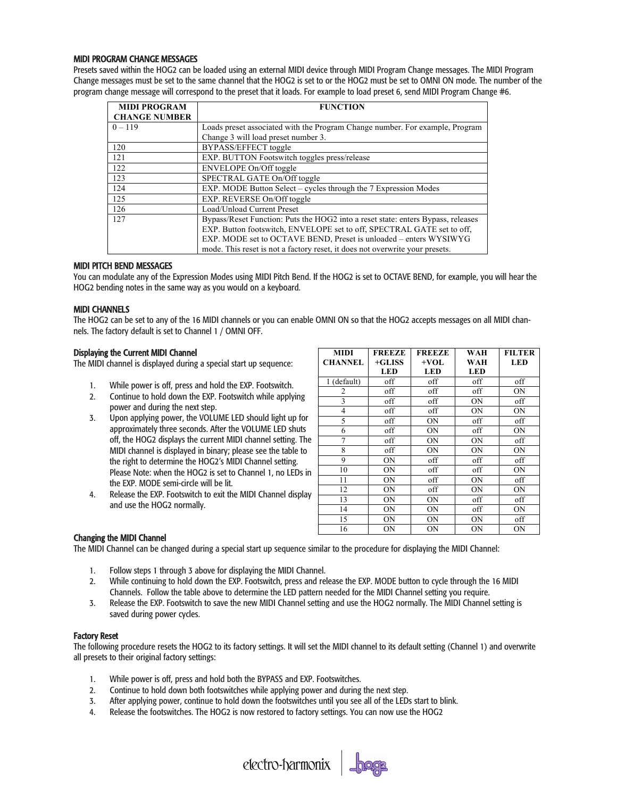#### MIDI PROGRAM CHANGE MESSAGES

Presets saved within the HOG2 can be loaded using an external MIDI device through MIDI Program Change messages. The MIDI Program Change messages must be set to the same channel that the HOG2 is set to or the HOG2 must be set to OMNI ON mode. The number of the program change message will correspond to the preset that it loads. For example to load preset 6, send MIDI Program Change #6.

| <b>MIDI PROGRAM</b>  | <b>FUNCTION</b>                                                                  |
|----------------------|----------------------------------------------------------------------------------|
| <b>CHANGE NUMBER</b> |                                                                                  |
| $0 - 119$            | Loads preset associated with the Program Change number. For example, Program     |
|                      | Change 3 will load preset number 3.                                              |
| 120                  | BYPASS/EFFECT toggle                                                             |
| 121                  | EXP. BUTTON Footswitch toggles press/release                                     |
| 122                  | ENVELOPE On/Off toggle                                                           |
| 123                  | SPECTRAL GATE On/Off toggle                                                      |
| 124                  | EXP. MODE Button Select - cycles through the 7 Expression Modes                  |
| 125                  | EXP. REVERSE On/Off toggle                                                       |
| 126                  | Load/Unload Current Preset                                                       |
| 127                  | Bypass/Reset Function: Puts the HOG2 into a reset state: enters Bypass, releases |
|                      | EXP. Button footswitch, ENVELOPE set to off, SPECTRAL GATE set to off,           |
|                      | EXP. MODE set to OCTAVE BEND, Preset is unloaded – enters WYSIWYG                |
|                      | mode. This reset is not a factory reset, it does not overwrite your presets.     |

#### MIDI PITCH BEND MESSAGES

You can modulate any of the Expression Modes using MIDI Pitch Bend. If the HOG2 is set to OCTAVE BEND, for example, you will hear the HOG2 bending notes in the same way as you would on a keyboard.

#### MIDI CHANNELS

The HOG2 can be set to any of the 16 MIDI channels or you can enable OMNI ON so that the HOG2 accepts messages on all MIDI channels. The factory default is set to Channel 1 / OMNI OFF.

#### Displaying the Current MIDI Channel

The MIDI channel is displayed during a special start up sequence:

- 1. While power is off, press and hold the EXP. Footswitch.
- 2. Continue to hold down the EXP. Footswitch while applying power and during the next step.
- 3. Upon applying power, the VOLUME LED should light up for approximately three seconds. After the VOLUME LED shuts off, the HOG2 displays the current MIDI channel setting. The MIDI channel is displayed in binary; please see the table to the right to determine the HOG2's MIDI Channel setting. Please Note: when the HOG2 is set to Channel 1, no LEDs in the EXP. MODE semi-circle will be lit.
- 4. Release the EXP. Footswitch to exit the MIDI Channel display and use the HOG2 normally.

| <b>MIDI</b>    | <b>FREEZE</b> | <b>FREEZE</b> | WAH        | <b>FILTER</b> |
|----------------|---------------|---------------|------------|---------------|
| <b>CHANNEL</b> | $+GLISS$      | $+VOL$        | WAH        | <b>LED</b>    |
|                | <b>LED</b>    | <b>LED</b>    | <b>LED</b> |               |
| 1 (default)    | off           | off           | off        | off           |
| 2              | off           | off           | off        | ON            |
| 3              | off           | off           | ON         | off           |
| $\overline{4}$ | off           | off           | ON         | ON            |
| 5              | off           | <b>ON</b>     | off        | off           |
| 6              | off           | <b>ON</b>     | off        | ON            |
| 7              | off           | <b>ON</b>     | ON         | off           |
| 8              | off           | <b>ON</b>     | ON         | ON            |
| 9              | <b>ON</b>     | off           | off        | off           |
| 10             | <b>ON</b>     | off           | off        | ON            |
| 11             | <b>ON</b>     | off           | ON         | off           |
| 12             | ON            | off           | ON         | ON            |
| 13             | <b>ON</b>     | <b>ON</b>     | off        | off           |
| 14             | ON            | ON            | off        | ON            |
| 15             | ON            | <b>ON</b>     | ΟN         | off           |
| 16             | ON            | ON            | ON         | ON            |

#### Changing the MIDI Channel

The MIDI Channel can be changed during a special start up sequence similar to the procedure for displaying the MIDI Channel:

- 1. Follow steps 1 through 3 above for displaying the MIDI Channel.
- 2. While continuing to hold down the EXP. Footswitch, press and release the EXP. MODE button to cycle through the 16 MIDI Channels. Follow the table above to determine the LED pattern needed for the MIDI Channel setting you require.
- 3. Release the EXP. Footswitch to save the new MIDI Channel setting and use the HOG2 normally. The MIDI Channel setting is saved during power cycles.

#### Factory Reset

The following procedure resets the HOG2 to its factory settings. It will set the MIDI channel to its default setting (Channel 1) and overwrite all presets to their original factory settings:

- 1. While power is off, press and hold both the BYPASS and EXP. Footswitches.
- 2. Continue to hold down both footswitches while applying power and during the next step.
- 3. After applying power, continue to hold down the footswitches until you see all of the LEDs start to blink.
- 4. Release the footswitches. The HOG2 is now restored to factory settings. You can now use the HOG2